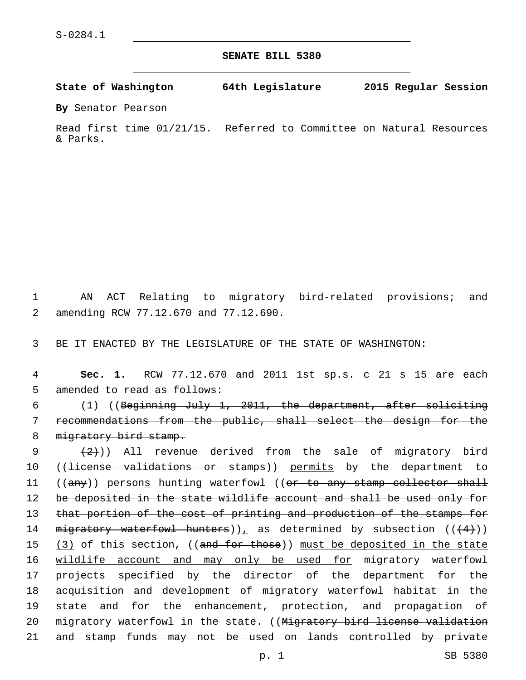**SENATE BILL 5380**

**State of Washington 64th Legislature 2015 Regular Session**

**By** Senator Pearson

Read first time 01/21/15. Referred to Committee on Natural Resources & Parks.

1 AN ACT Relating to migratory bird-related provisions; and amending RCW 77.12.670 and 77.12.690.2

3 BE IT ENACTED BY THE LEGISLATURE OF THE STATE OF WASHINGTON:

4 **Sec. 1.** RCW 77.12.670 and 2011 1st sp.s. c 21 s 15 are each 5 amended to read as follows:

6 (1) ((Beginning July 1, 2011, the department, after soliciting 7 recommendations from the public, shall select the design for the 8 migratory bird stamp.

9  $(2)$ ) All revenue derived from the sale of migratory bird 10 ((license validations or stamps)) permits by the department to 11 ((any)) persons hunting waterfowl ((or to any stamp collector shall 12 be deposited in the state wildlife account and shall be used only for 13 that portion of the cost of printing and production of the stamps for 14 migratory waterfowl hunters)), as determined by subsection  $((+4))$ 15 (3) of this section, ((and for those)) must be deposited in the state 16 wildlife account and may only be used for migratory waterfowl 17 projects specified by the director of the department for the 18 acquisition and development of migratory waterfowl habitat in the 19 state and for the enhancement, protection, and propagation of 20 migratory waterfowl in the state. ((Migratory bird license validation 21 and stamp funds may not be used on lands controlled by private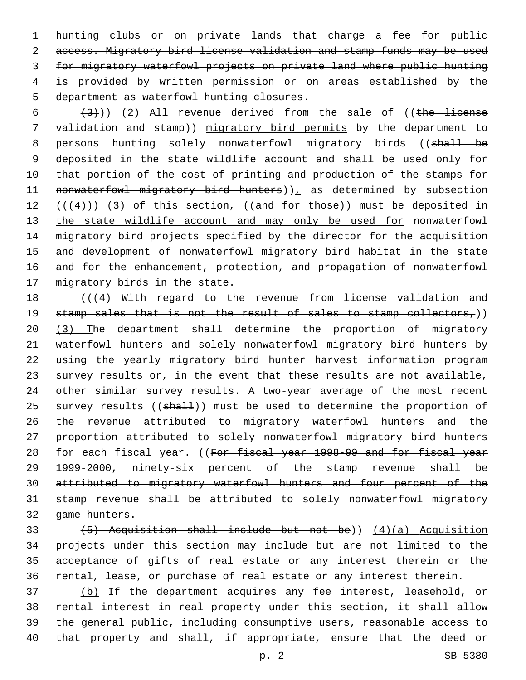hunting clubs or on private lands that charge a fee for public access. Migratory bird license validation and stamp funds may be used for migratory waterfowl projects on private land where public hunting is provided by written permission or on areas established by the 5 department as waterfowl hunting closures.

 $(3)$ ) (2) All revenue derived from the sale of ((the license validation and stamp)) migratory bird permits by the department to 8 persons hunting solely nonwaterfowl migratory birds ((shall be deposited in the state wildlife account and shall be used only for 10 that portion of the cost of printing and production of the stamps for 11 nonwaterfowl migratory bird hunters)), as determined by subsection 12  $((+4))$   $(3)$  of this section,  $((and for those))$  must be deposited in 13 the state wildlife account and may only be used for nonwaterfowl migratory bird projects specified by the director for the acquisition and development of nonwaterfowl migratory bird habitat in the state and for the enhancement, protection, and propagation of nonwaterfowl 17 migratory birds in the state.

18 (((4) With regard to the revenue from license validation and 19 stamp sales that is not the result of sales to stamp collectors,)) (3) The department shall determine the proportion of migratory waterfowl hunters and solely nonwaterfowl migratory bird hunters by using the yearly migratory bird hunter harvest information program survey results or, in the event that these results are not available, other similar survey results. A two-year average of the most recent 25 survey results ((shall)) must be used to determine the proportion of the revenue attributed to migratory waterfowl hunters and the proportion attributed to solely nonwaterfowl migratory bird hunters 28 for each fiscal year. ((For fiscal year 1998-99 and for fiscal year 1999-2000, ninety-six percent of the stamp revenue shall be attributed to migratory waterfowl hunters and four percent of the stamp revenue shall be attributed to solely nonwaterfowl migratory game hunters.

 (5) Acquisition shall include but not be)) (4)(a) Acquisition projects under this section may include but are not limited to the acceptance of gifts of real estate or any interest therein or the rental, lease, or purchase of real estate or any interest therein.

 (b) If the department acquires any fee interest, leasehold, or rental interest in real property under this section, it shall allow the general public, including consumptive users, reasonable access to that property and shall, if appropriate, ensure that the deed or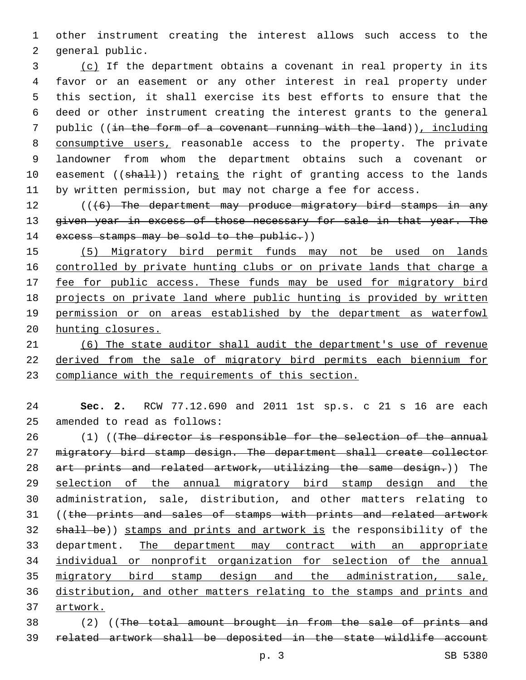other instrument creating the interest allows such access to the 2 general public.

 (c) If the department obtains a covenant in real property in its favor or an easement or any other interest in real property under this section, it shall exercise its best efforts to ensure that the deed or other instrument creating the interest grants to the general public ((in the form of a covenant running with the land)), including consumptive users, reasonable access to the property. The private landowner from whom the department obtains such a covenant or 10 easement ((shall)) retains the right of granting access to the lands by written permission, but may not charge a fee for access.

12 (((6) The department may produce migratory bird stamps in any 13 given year in excess of those necessary for sale in that year. The 14 excess stamps may be sold to the public.))

 (5) Migratory bird permit funds may not be used on lands controlled by private hunting clubs or on private lands that charge a 17 fee for public access. These funds may be used for migratory bird projects on private land where public hunting is provided by written permission or on areas established by the department as waterfowl hunting closures.

 (6) The state auditor shall audit the department's use of revenue derived from the sale of migratory bird permits each biennium for compliance with the requirements of this section.

 **Sec. 2.** RCW 77.12.690 and 2011 1st sp.s. c 21 s 16 are each 25 amended to read as follows:

26 (1) ((The director is responsible for the selection of the annual migratory bird stamp design. The department shall create collector art prints and related artwork, utilizing the same design.)) The 29 selection of the annual migratory bird stamp design and the administration, sale, distribution, and other matters relating to 31 ((the prints and sales of stamps with prints and related artwork 32 shall be)) stamps and prints and artwork is the responsibility of the department. The department may contract with an appropriate individual or nonprofit organization for selection of the annual migratory bird stamp design and the administration, sale, distribution, and other matters relating to the stamps and prints and artwork.

 (2) ((The total amount brought in from the sale of prints and related artwork shall be deposited in the state wildlife account